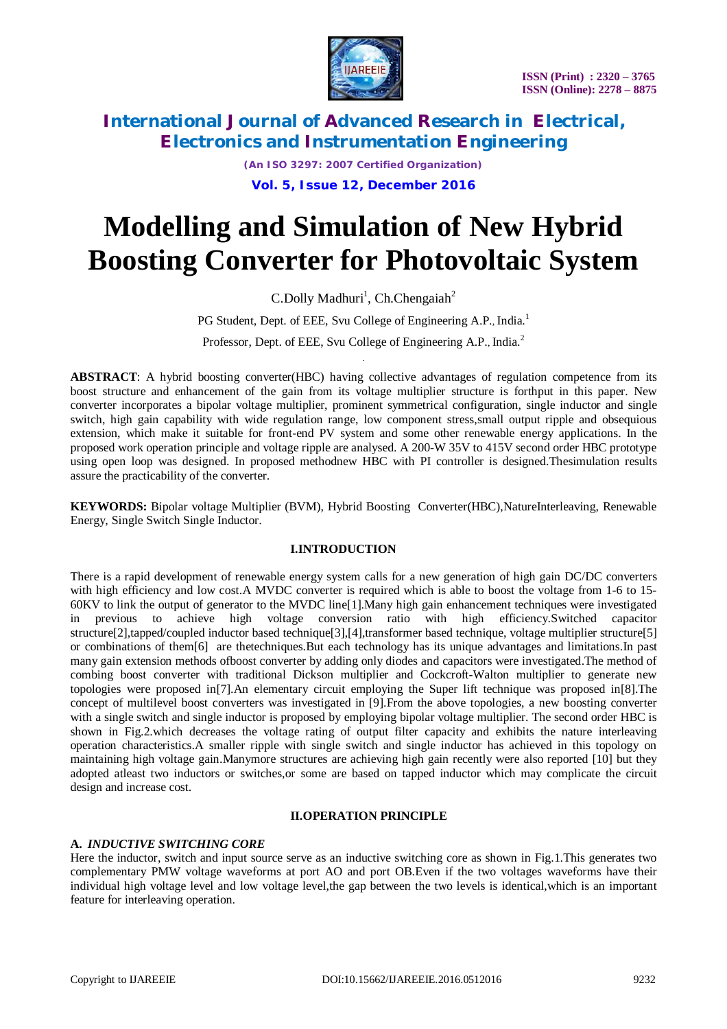

*(An ISO 3297: 2007 Certified Organization)* **Vol. 5, Issue 12, December 2016**

# **Modelling and Simulation of New Hybrid Boosting Converter for Photovoltaic System**

C.Dolly Madhuri<sup>1</sup>, Ch.Chengaiah<sup>2</sup>

PG Student, Dept. of EEE, Svu College of Engineering A.P., India.<sup>1</sup> Professor, Dept. of EEE, Svu College of Engineering A.P., India.<sup>2</sup>

.

**ABSTRACT**: A hybrid boosting converter(HBC) having collective advantages of regulation competence from its boost structure and enhancement of the gain from its voltage multiplier structure is forthput in this paper. New converter incorporates a bipolar voltage multiplier, prominent symmetrical configuration, single inductor and single switch, high gain capability with wide regulation range, low component stress, small output ripple and obsequious extension, which make it suitable for front-end PV system and some other renewable energy applications. In the proposed work operation principle and voltage ripple are analysed. A 200-W 35V to 415V second order HBC prototype using open loop was designed. In proposed methodnew HBC with PI controller is designed.Thesimulation results assure the practicability of the converter.

**KEYWORDS:** Bipolar voltage Multiplier (BVM), Hybrid Boosting Converter(HBC), NatureInterleaving, Renewable Energy, Single Switch Single Inductor.

#### **I.INTRODUCTION**

There is a rapid development of renewable energy system calls for a new generation of high gain DC/DC converters with high efficiency and low cost.A MVDC converter is required which is able to boost the voltage from 1-6 to 15-60KV to link the output of generator to the MVDC line[1].Many high gain enhancement techniques were investigated in previous to achieve high voltage conversion ratio with high efficiency.Switched capacitor structure[2],tapped/coupled inductor based technique[3],[4],transformer based technique, voltage multiplier structure[5] or combinations of them[6] are thetechniques.But each technology has its unique advantages and limitations.In past many gain extension methods ofboost converter by adding only diodes and capacitors were investigated.The method of combing boost converter with traditional Dickson multiplier and Cockcroft-Walton multiplier to generate new topologies were proposed in[7].An elementary circuit employing the Super lift technique was proposed in[8].The concept of multilevel boost converters was investigated in [9].From the above topologies, a new boosting converter with a single switch and single inductor is proposed by employing bipolar voltage multiplier. The second order HBC is shown in Fig.2.which decreases the voltage rating of output filter capacity and exhibits the nature interleaving operation characteristics.A smaller ripple with single switch and single inductor has achieved in this topology on maintaining high voltage gain.Manymore structures are achieving high gain recently were also reported [10] but they adopted atleast two inductors or switches,or some are based on tapped inductor which may complicate the circuit design and increase cost.

#### **II.OPERATION PRINCIPLE**

#### **A.** *INDUCTIVE SWITCHING CORE*

Here the inductor, switch and input source serve as an inductive switching core as shown in Fig.1.This generates two complementary PMW voltage waveforms at port AO and port OB.Even if the two voltages waveforms have their individual high voltage level and low voltage level,the gap between the two levels is identical,which is an important feature for interleaving operation.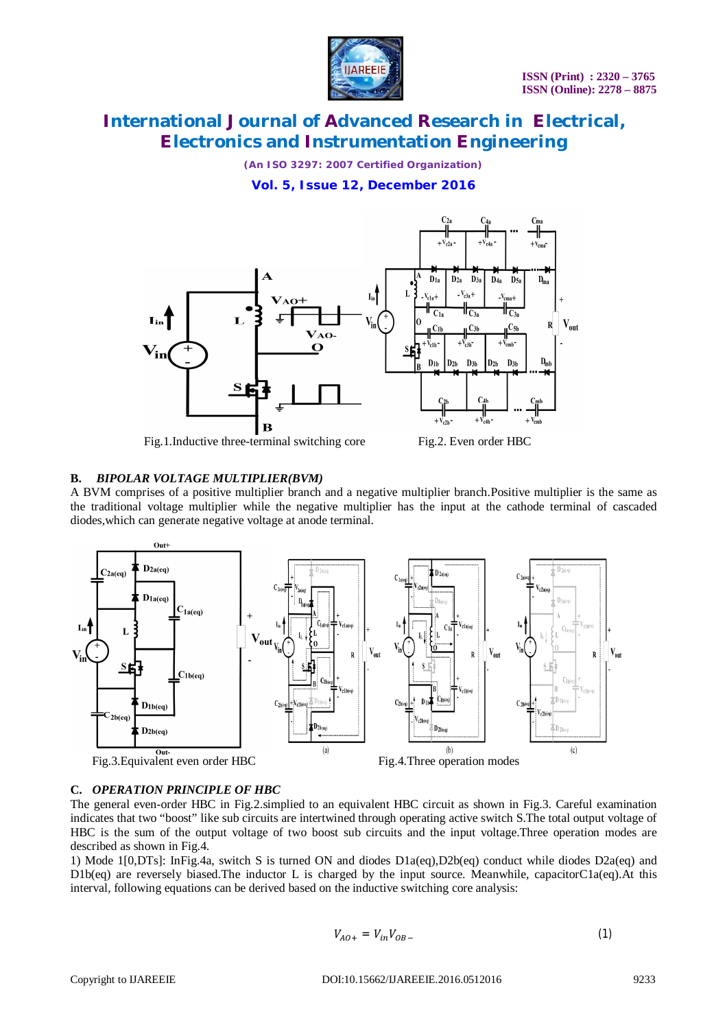

*(An ISO 3297: 2007 Certified Organization)*

**Vol. 5, Issue 12, December 2016**



Fig.1.Inductive three-terminal switching core Fig.2. Even order HBC

#### **B.** *BIPOLAR VOLTAGE MULTIPLIER(BVM)*

A BVM comprises of a positive multiplier branch and a negative multiplier branch.Positive multiplier is the same as the traditional voltage multiplier while the negative multiplier has the input at the cathode terminal of cascaded diodes,which can generate negative voltage at anode terminal.



#### **C.** *OPERATION PRINCIPLE OF HBC*

The general even-order HBC in Fig.2.simplied to an equivalent HBC circuit as shown in Fig.3. Careful examination indicates that two "boost" like sub circuits are intertwined through operating active switch S.The total output voltage of HBC is the sum of the output voltage of two boost sub circuits and the input voltage.Three operation modes are described as shown in Fig.4.

1) Mode 1[0,DTs]: InFig.4a, switch S is turned ON and diodes D1a(eq),D2b(eq) conduct while diodes D2a(eq) and D1b(eq) are reversely biased.The inductor L is charged by the input source. Meanwhile, capacitorC1a(eq).At this interval, following equations can be derived based on the inductive switching core analysis:

$$
V_{AO+} = V_{in}V_{OB-} \tag{1}
$$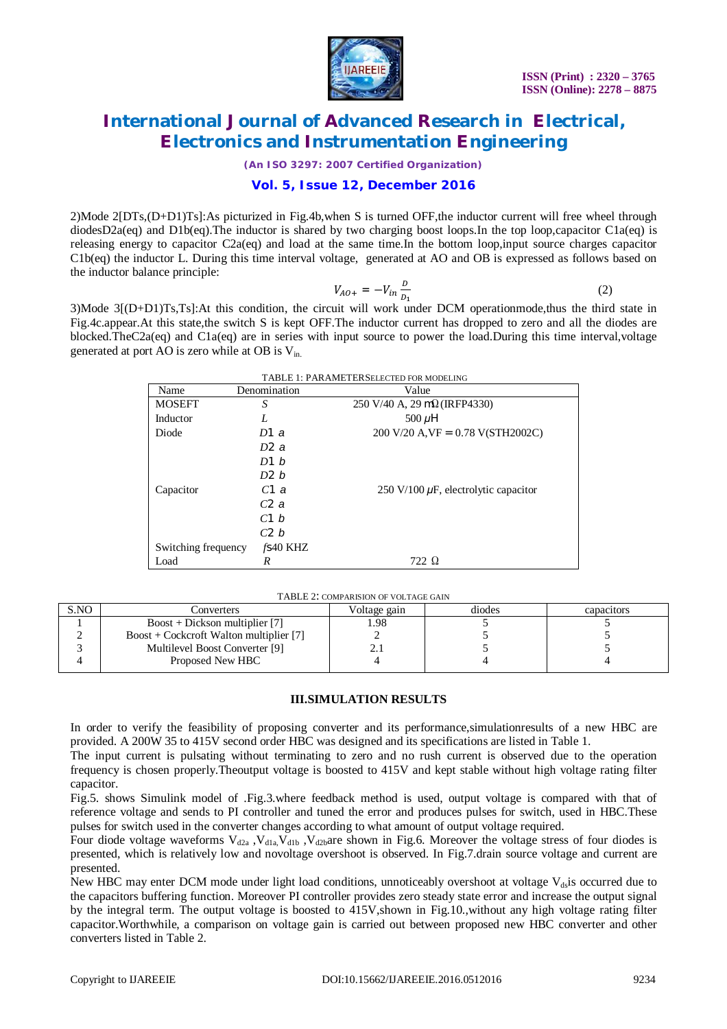

*(An ISO 3297: 2007 Certified Organization)*

#### **Vol. 5, Issue 12, December 2016**

2)Mode 2[DTs,(D+D1)Ts]:As picturized in Fig.4b,when S is turned OFF,the inductor current will free wheel through diodesD2a(eq) and D1b(eq). The inductor is shared by two charging boost loops. In the top loop, capacitor C1a(eq) is releasing energy to capacitor C2a(eq) and load at the same time.In the bottom loop,input source charges capacitor C1b(eq) the inductor L. During this time interval voltage, generated at AO and OB is expressed as follows based on the inductor balance principle:

$$
V_{AO+} = -V_{in} \frac{D}{D_1}
$$
 (2)

3)Mode 3[(D+D1)Ts,Ts]:At this condition, the circuit will work under DCM operationmode,thus the third state in Fig.4c.appear.At this state,the switch S is kept OFF.The inductor current has dropped to zero and all the diodes are blocked.TheC2a(eq) and C1a(eq) are in series with input source to power the load.During this time interval,voltage generated at port AO is zero while at OB is  $V_{in}$ .

| TABLE 1: PARAMETERSELECTED FOR MODELING |              |                                                                     |  |  |  |  |
|-----------------------------------------|--------------|---------------------------------------------------------------------|--|--|--|--|
| Name                                    | Denomination | Value                                                               |  |  |  |  |
| <b>MOSEFT</b>                           | S            | 250 V/40 A, 29 m $\Omega$ (IRFP4330)                                |  |  |  |  |
| Inductor                                | L            | 500 $\mu$ H                                                         |  |  |  |  |
| Diode                                   | D1a          | $200 \text{ V}/20 \text{ A,VF} = 0.78 \text{ V(STH}2002 \text{ C})$ |  |  |  |  |
|                                         | D2a          |                                                                     |  |  |  |  |
|                                         | D1 b         |                                                                     |  |  |  |  |
|                                         | D2 b         |                                                                     |  |  |  |  |
| Capacitor                               | C1a          | 250 V/100 $\mu$ F, electrolytic capacitor                           |  |  |  |  |
|                                         | C2a          |                                                                     |  |  |  |  |
|                                         | C1 b         |                                                                     |  |  |  |  |
|                                         | C2 b         |                                                                     |  |  |  |  |
| Switching frequency                     | $f$ S40 KHZ  |                                                                     |  |  |  |  |
| Load                                    | R            | 722 Q                                                               |  |  |  |  |

TABLE 2: COMPARISION OF VOLTAGE GAIN

| S.NO | Converters                               | Voltage gain | diodes | capacitors |  |  |  |
|------|------------------------------------------|--------------|--------|------------|--|--|--|
|      | $Boost + Dickson$ multiplier [7]         | .98          |        |            |  |  |  |
|      | $Boost + Cokeroft$ Walton multiplier [7] |              |        |            |  |  |  |
|      | Multilevel Boost Converter [9]           | <u>، ، ا</u> |        |            |  |  |  |
|      | Proposed New HBC                         |              |        |            |  |  |  |
|      |                                          |              |        |            |  |  |  |

#### **III.SIMULATION RESULTS**

In order to verify the feasibility of proposing converter and its performance, simulationresults of a new HBC are provided. A 200W 35 to 415V second order HBC was designed and its specifications are listed in Table 1.

The input current is pulsating without terminating to zero and no rush current is observed due to the operation frequency is chosen properly.Theoutput voltage is boosted to 415V and kept stable without high voltage rating filter capacitor.

Fig.5. shows Simulink model of .Fig.3.where feedback method is used, output voltage is compared with that of reference voltage and sends to PI controller and tuned the error and produces pulses for switch, used in HBC.These pulses for switch used in the converter changes according to what amount of output voltage required.

Four diode voltage waveforms  $V_{d2a}$ ,  $V_{d1a}V_{d1b}$ ,  $V_{d2b}$ are shown in Fig.6. Moreover the voltage stress of four diodes is presented, which is relatively low and novoltage overshoot is observed. In Fig.7.drain source voltage and current are presented.

New HBC may enter DCM mode under light load conditions, unnoticeably overshoot at voltage  $V_{ds}$  is occurred due to the capacitors buffering function. Moreover PI controller provides zero steady state error and increase the output signal by the integral term. The output voltage is boosted to 415V,shown in Fig.10.,without any high voltage rating filter capacitor.Worthwhile, a comparison on voltage gain is carried out between proposed new HBC converter and other converters listed in Table 2.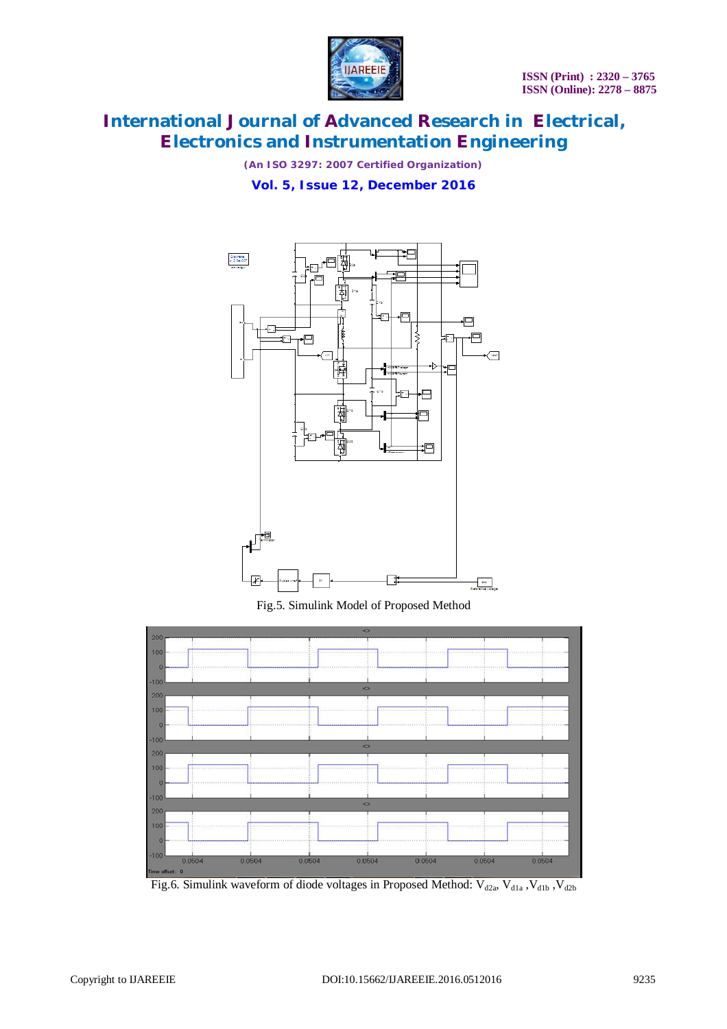

*(An ISO 3297: 2007 Certified Organization)*

**Vol. 5, Issue 12, December 2016**



Fig.5. Simulink Model of Proposed Method



Fig.6. Simulink waveform of diode voltages in Proposed Method:  $V_{d2a}$ ,  $V_{d1a}$ ,  $V_{d1b}$ ,  $V_{d2b}$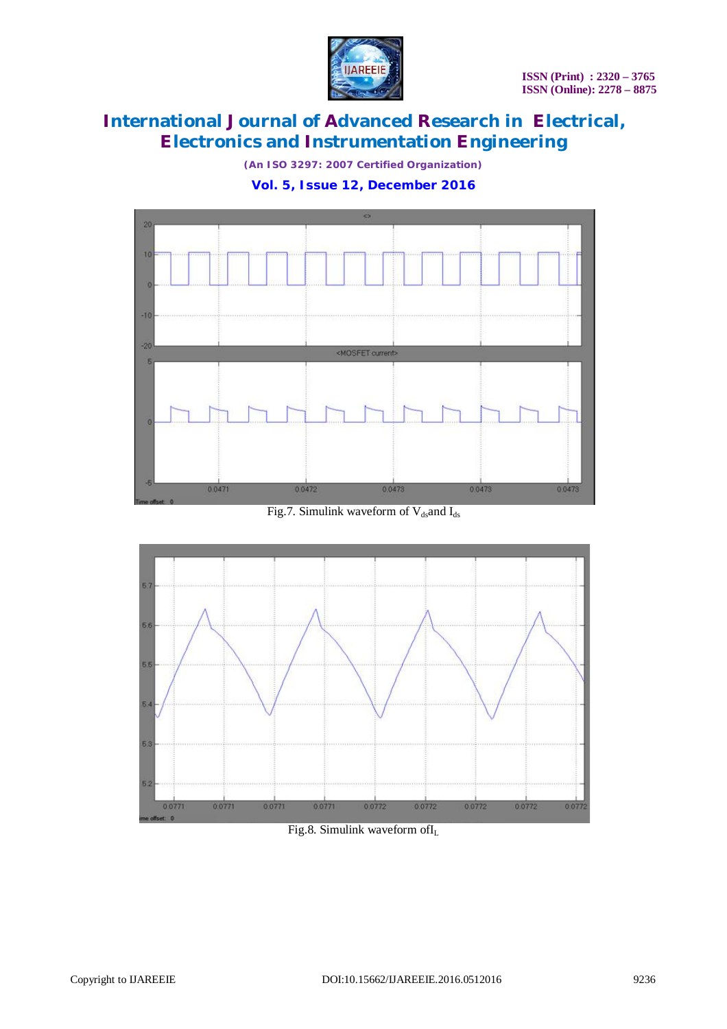

*(An ISO 3297: 2007 Certified Organization)*

**Vol. 5, Issue 12, December 2016**



Fig.7. Simulink waveform of  $V_{ds}$  and  $I_{ds}$ 



Fig.8. Simulink waveform ofI<sup>L</sup>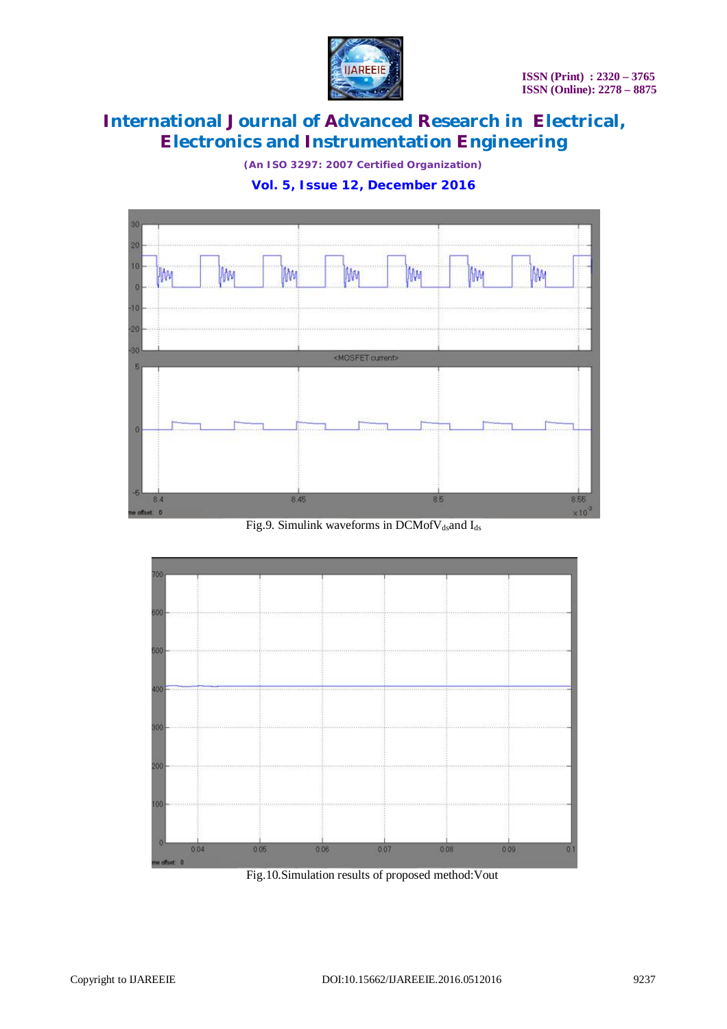

*(An ISO 3297: 2007 Certified Organization)*

#### **Vol. 5, Issue 12, December 2016**



Fig.9. Simulink waveforms in DCMof $V_{ds}$ and I<sub>ds</sub>



Fig.10.Simulation results of proposed method:Vout